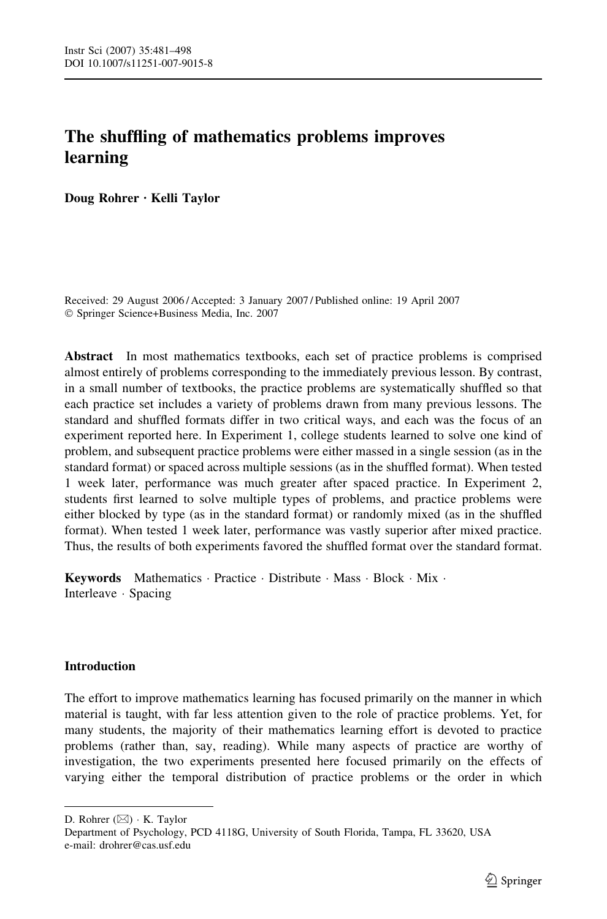# The shuffling of mathematics problems improves learning

Doug Rohrer  $\cdot$  Kelli Taylor

Received: 29 August 2006 / Accepted: 3 January 2007 / Published online: 19 April 2007 Springer Science+Business Media, Inc. 2007

Abstract In most mathematics textbooks, each set of practice problems is comprised almost entirely of problems corresponding to the immediately previous lesson. By contrast, in a small number of textbooks, the practice problems are systematically shuffled so that each practice set includes a variety of problems drawn from many previous lessons. The standard and shuffled formats differ in two critical ways, and each was the focus of an experiment reported here. In Experiment 1, college students learned to solve one kind of problem, and subsequent practice problems were either massed in a single session (as in the standard format) or spaced across multiple sessions (as in the shuffled format). When tested 1 week later, performance was much greater after spaced practice. In Experiment 2, students first learned to solve multiple types of problems, and practice problems were either blocked by type (as in the standard format) or randomly mixed (as in the shuffled format). When tested 1 week later, performance was vastly superior after mixed practice. Thus, the results of both experiments favored the shuffled format over the standard format.

Keywords Mathematics · Practice · Distribute · Mass · Block · Mix · Interleave · Spacing

### **Introduction**

The effort to improve mathematics learning has focused primarily on the manner in which material is taught, with far less attention given to the role of practice problems. Yet, for many students, the majority of their mathematics learning effort is devoted to practice problems (rather than, say, reading). While many aspects of practice are worthy of investigation, the two experiments presented here focused primarily on the effects of varying either the temporal distribution of practice problems or the order in which

D. Rohrer  $(\boxtimes) \cdot K$ . Taylor

Department of Psychology, PCD 4118G, University of South Florida, Tampa, FL 33620, USA e-mail: drohrer@cas.usf.edu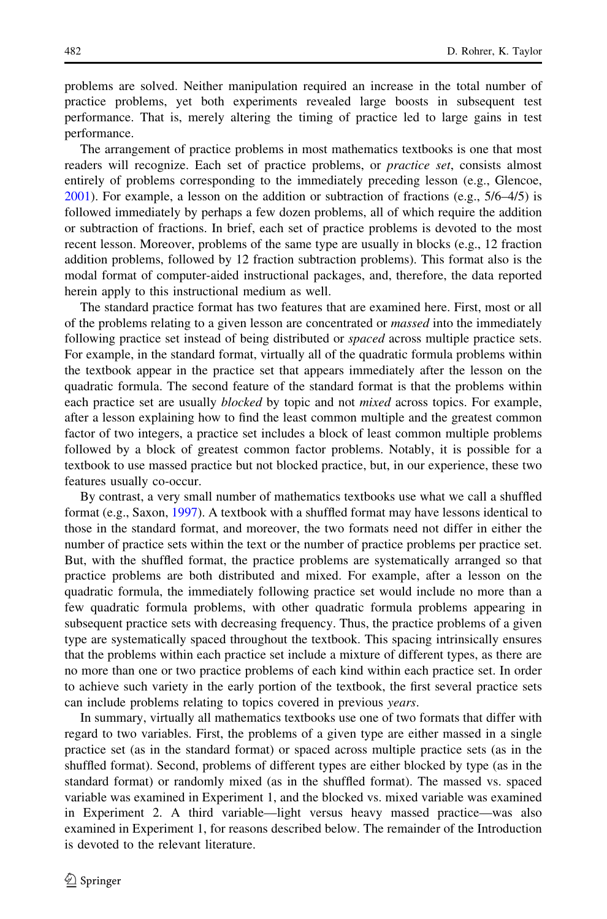problems are solved. Neither manipulation required an increase in the total number of practice problems, yet both experiments revealed large boosts in subsequent test performance. That is, merely altering the timing of practice led to large gains in test performance.

The arrangement of practice problems in most mathematics textbooks is one that most readers will recognize. Each set of practice problems, or *practice set*, consists almost entirely of problems corresponding to the immediately preceding lesson (e.g., Glencoe,  $2001$ ). For example, a lesson on the addition or subtraction of fractions (e.g.,  $5/6-4/5$ ) is followed immediately by perhaps a few dozen problems, all of which require the addition or subtraction of fractions. In brief, each set of practice problems is devoted to the most recent lesson. Moreover, problems of the same type are usually in blocks (e.g., 12 fraction addition problems, followed by 12 fraction subtraction problems). This format also is the modal format of computer-aided instructional packages, and, therefore, the data reported herein apply to this instructional medium as well.

The standard practice format has two features that are examined here. First, most or all of the problems relating to a given lesson are concentrated or *massed* into the immediately following practice set instead of being distributed or *spaced* across multiple practice sets. For example, in the standard format, virtually all of the quadratic formula problems within the textbook appear in the practice set that appears immediately after the lesson on the quadratic formula. The second feature of the standard format is that the problems within each practice set are usually *blocked* by topic and not *mixed* across topics. For example, after a lesson explaining how to find the least common multiple and the greatest common factor of two integers, a practice set includes a block of least common multiple problems followed by a block of greatest common factor problems. Notably, it is possible for a textbook to use massed practice but not blocked practice, but, in our experience, these two features usually co-occur.

By contrast, a very small number of mathematics textbooks use what we call a shuffled format (e.g., Saxon, [1997](#page-17-0)). A textbook with a shuffled format may have lessons identical to those in the standard format, and moreover, the two formats need not differ in either the number of practice sets within the text or the number of practice problems per practice set. But, with the shuffled format, the practice problems are systematically arranged so that practice problems are both distributed and mixed. For example, after a lesson on the quadratic formula, the immediately following practice set would include no more than a few quadratic formula problems, with other quadratic formula problems appearing in subsequent practice sets with decreasing frequency. Thus, the practice problems of a given type are systematically spaced throughout the textbook. This spacing intrinsically ensures that the problems within each practice set include a mixture of different types, as there are no more than one or two practice problems of each kind within each practice set. In order to achieve such variety in the early portion of the textbook, the first several practice sets can include problems relating to topics covered in previous years.

In summary, virtually all mathematics textbooks use one of two formats that differ with regard to two variables. First, the problems of a given type are either massed in a single practice set (as in the standard format) or spaced across multiple practice sets (as in the shuffled format). Second, problems of different types are either blocked by type (as in the standard format) or randomly mixed (as in the shuffled format). The massed vs. spaced variable was examined in Experiment 1, and the blocked vs. mixed variable was examined in Experiment 2. A third variable—light versus heavy massed practice—was also examined in Experiment 1, for reasons described below. The remainder of the Introduction is devoted to the relevant literature.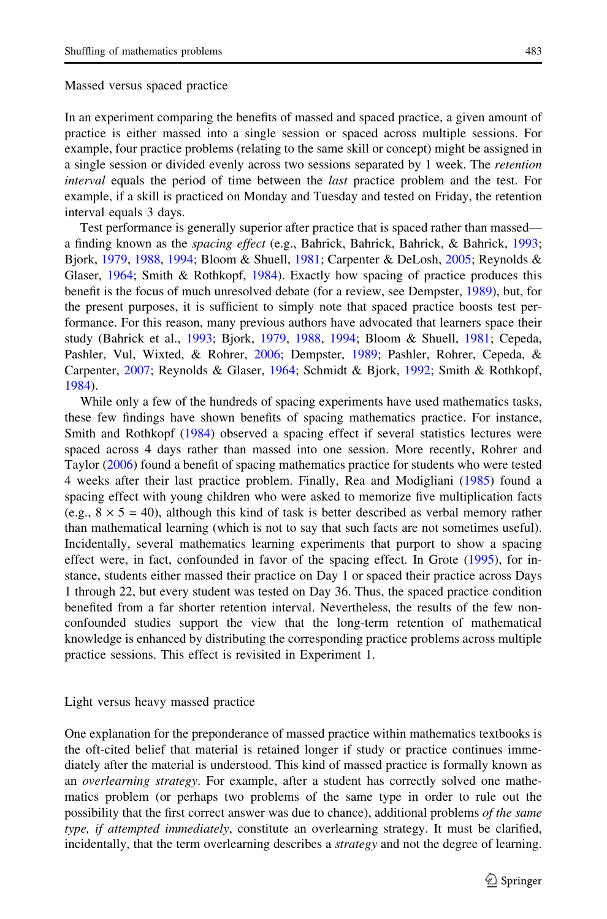In an experiment comparing the benefits of massed and spaced practice, a given amount of practice is either massed into a single session or spaced across multiple sessions. For example, four practice problems (relating to the same skill or concept) might be assigned in a single session or divided evenly across two sessions separated by 1 week. The retention interval equals the period of time between the last practice problem and the test. For example, if a skill is practiced on Monday and Tuesday and tested on Friday, the retention interval equals 3 days.

Test performance is generally superior after practice that is spaced rather than massed a finding known as the spacing effect (e.g., Bahrick, Bahrick, Bahrick, & Bahrick, [1993;](#page-16-0) Bjork, [1979](#page-16-0), [1988](#page-16-0), [1994](#page-16-0); Bloom & Shuell, [1981](#page-16-0); Carpenter & DeLosh, [2005](#page-16-0); Reynolds & Glaser, [1964](#page-16-0); Smith & Rothkopf, [1984](#page-17-0)). Exactly how spacing of practice produces this benefit is the focus of much unresolved debate (for a review, see Dempster, [1989](#page-16-0)), but, for the present purposes, it is sufficient to simply note that spaced practice boosts test performance. For this reason, many previous authors have advocated that learners space their study (Bahrick et al., [1993;](#page-16-0) Bjork, [1979](#page-16-0), [1988,](#page-16-0) [1994;](#page-16-0) Bloom & Shuell, [1981](#page-16-0); Cepeda, Pashler, Vul, Wixted, & Rohrer, [2006](#page-16-0); Dempster, [1989](#page-16-0); Pashler, Rohrer, Cepeda, & Carpenter, [2007;](#page-16-0) Reynolds & Glaser, [1964;](#page-16-0) Schmidt & Bjork, [1992;](#page-17-0) Smith & Rothkopf, [1984\)](#page-17-0).

While only a few of the hundreds of spacing experiments have used mathematics tasks, these few findings have shown benefits of spacing mathematics practice. For instance, Smith and Rothkopf ([1984](#page-17-0)) observed a spacing effect if several statistics lectures were spaced across 4 days rather than massed into one session. More recently, Rohrer and Taylor [\(2006](#page-16-0)) found a benefit of spacing mathematics practice for students who were tested 4 weeks after their last practice problem. Finally, Rea and Modigliani ([1985\)](#page-16-0) found a spacing effect with young children who were asked to memorize five multiplication facts (e.g.,  $8 \times 5 = 40$ ), although this kind of task is better described as verbal memory rather than mathematical learning (which is not to say that such facts are not sometimes useful). Incidentally, several mathematics learning experiments that purport to show a spacing effect were, in fact, confounded in favor of the spacing effect. In Grote [\(1995](#page-16-0)), for instance, students either massed their practice on Day 1 or spaced their practice across Days 1 through 22, but every student was tested on Day 36. Thus, the spaced practice condition benefited from a far shorter retention interval. Nevertheless, the results of the few nonconfounded studies support the view that the long-term retention of mathematical knowledge is enhanced by distributing the corresponding practice problems across multiple practice sessions. This effect is revisited in Experiment 1.

### Light versus heavy massed practice

One explanation for the preponderance of massed practice within mathematics textbooks is the oft-cited belief that material is retained longer if study or practice continues immediately after the material is understood. This kind of massed practice is formally known as an overlearning strategy. For example, after a student has correctly solved one mathematics problem (or perhaps two problems of the same type in order to rule out the possibility that the first correct answer was due to chance), additional problems of the same type, if attempted immediately, constitute an overlearning strategy. It must be clarified, incidentally, that the term overlearning describes a *strategy* and not the degree of learning.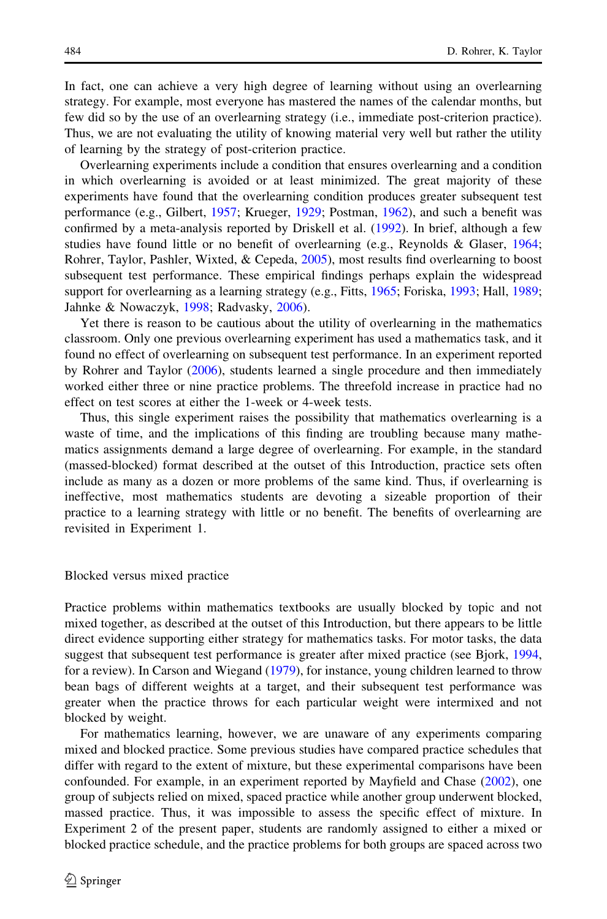In fact, one can achieve a very high degree of learning without using an overlearning strategy. For example, most everyone has mastered the names of the calendar months, but few did so by the use of an overlearning strategy (i.e., immediate post-criterion practice). Thus, we are not evaluating the utility of knowing material very well but rather the utility of learning by the strategy of post-criterion practice.

Overlearning experiments include a condition that ensures overlearning and a condition in which overlearning is avoided or at least minimized. The great majority of these experiments have found that the overlearning condition produces greater subsequent test performance (e.g., Gilbert, [1957;](#page-16-0) Krueger, [1929;](#page-16-0) Postman, [1962\)](#page-16-0), and such a benefit was confirmed by a meta-analysis reported by Driskell et al. ([1992\)](#page-16-0). In brief, although a few studies have found little or no benefit of overlearning (e.g., Reynolds & Glaser, [1964;](#page-16-0) Rohrer, Taylor, Pashler, Wixted, & Cepeda, [2005](#page-16-0)), most results find overlearning to boost subsequent test performance. These empirical findings perhaps explain the widespread support for overlearning as a learning strategy (e.g., Fitts, [1965](#page-16-0); Foriska, [1993;](#page-16-0) Hall, [1989;](#page-16-0) Jahnke & Nowaczyk, [1998;](#page-16-0) Radvasky, [2006](#page-16-0)).

Yet there is reason to be cautious about the utility of overlearning in the mathematics classroom. Only one previous overlearning experiment has used a mathematics task, and it found no effect of overlearning on subsequent test performance. In an experiment reported by Rohrer and Taylor ([2006\)](#page-16-0), students learned a single procedure and then immediately worked either three or nine practice problems. The threefold increase in practice had no effect on test scores at either the 1-week or 4-week tests.

Thus, this single experiment raises the possibility that mathematics overlearning is a waste of time, and the implications of this finding are troubling because many mathematics assignments demand a large degree of overlearning. For example, in the standard (massed-blocked) format described at the outset of this Introduction, practice sets often include as many as a dozen or more problems of the same kind. Thus, if overlearning is ineffective, most mathematics students are devoting a sizeable proportion of their practice to a learning strategy with little or no benefit. The benefits of overlearning are revisited in Experiment 1.

Blocked versus mixed practice

Practice problems within mathematics textbooks are usually blocked by topic and not mixed together, as described at the outset of this Introduction, but there appears to be little direct evidence supporting either strategy for mathematics tasks. For motor tasks, the data suggest that subsequent test performance is greater after mixed practice (see Bjork, [1994](#page-16-0), for a review). In Carson and Wiegand [\(1979](#page-16-0)), for instance, young children learned to throw bean bags of different weights at a target, and their subsequent test performance was greater when the practice throws for each particular weight were intermixed and not blocked by weight.

For mathematics learning, however, we are unaware of any experiments comparing mixed and blocked practice. Some previous studies have compared practice schedules that differ with regard to the extent of mixture, but these experimental comparisons have been confounded. For example, in an experiment reported by Mayfield and Chase [\(2002](#page-16-0)), one group of subjects relied on mixed, spaced practice while another group underwent blocked, massed practice. Thus, it was impossible to assess the specific effect of mixture. In Experiment 2 of the present paper, students are randomly assigned to either a mixed or blocked practice schedule, and the practice problems for both groups are spaced across two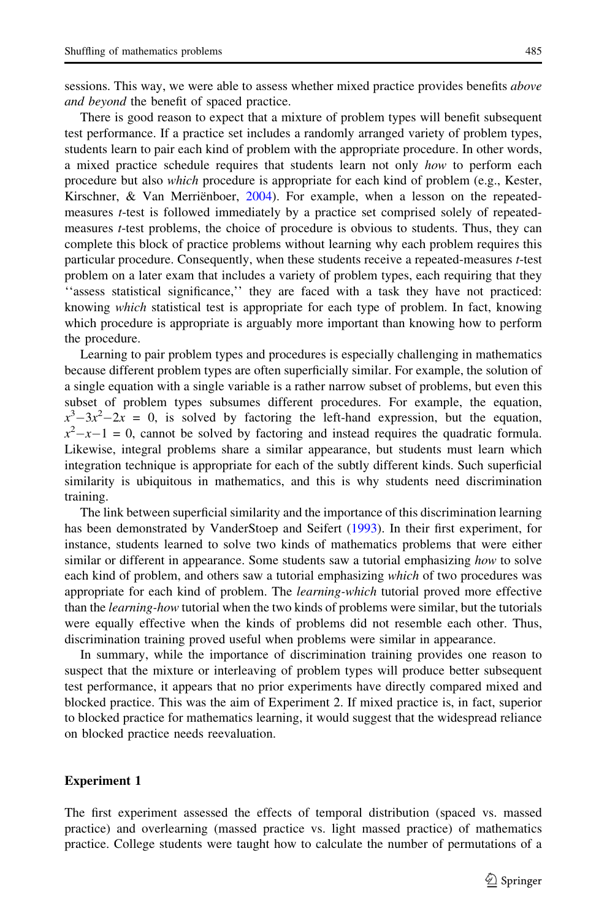sessions. This way, we were able to assess whether mixed practice provides benefits *above* and beyond the benefit of spaced practice.

There is good reason to expect that a mixture of problem types will benefit subsequent test performance. If a practice set includes a randomly arranged variety of problem types, students learn to pair each kind of problem with the appropriate procedure. In other words, a mixed practice schedule requires that students learn not only how to perform each procedure but also which procedure is appropriate for each kind of problem (e.g., Kester, Kirschner, & Van Merrienboer,  $2004$ ). For example, when a lesson on the repeatedmeasures t-test is followed immediately by a practice set comprised solely of repeatedmeasures t-test problems, the choice of procedure is obvious to students. Thus, they can complete this block of practice problems without learning why each problem requires this particular procedure. Consequently, when these students receive a repeated-measures t-test problem on a later exam that includes a variety of problem types, each requiring that they ''assess statistical significance,'' they are faced with a task they have not practiced: knowing which statistical test is appropriate for each type of problem. In fact, knowing which procedure is appropriate is arguably more important than knowing how to perform the procedure.

Learning to pair problem types and procedures is especially challenging in mathematics because different problem types are often superficially similar. For example, the solution of a single equation with a single variable is a rather narrow subset of problems, but even this subset of problem types subsumes different procedures. For example, the equation,  $x^3 - 3x^2 - 2x = 0$ , is solved by factoring the left-hand expression, but the equation,  $x^2-x-1=0$ , cannot be solved by factoring and instead requires the quadratic formula. Likewise, integral problems share a similar appearance, but students must learn which integration technique is appropriate for each of the subtly different kinds. Such superficial similarity is ubiquitous in mathematics, and this is why students need discrimination training.

The link between superficial similarity and the importance of this discrimination learning has been demonstrated by VanderStoep and Seifert [\(1993](#page-17-0)). In their first experiment, for instance, students learned to solve two kinds of mathematics problems that were either similar or different in appearance. Some students saw a tutorial emphasizing how to solve each kind of problem, and others saw a tutorial emphasizing which of two procedures was appropriate for each kind of problem. The *learning-which* tutorial proved more effective than the *learning-how* tutorial when the two kinds of problems were similar, but the tutorials were equally effective when the kinds of problems did not resemble each other. Thus, discrimination training proved useful when problems were similar in appearance.

In summary, while the importance of discrimination training provides one reason to suspect that the mixture or interleaving of problem types will produce better subsequent test performance, it appears that no prior experiments have directly compared mixed and blocked practice. This was the aim of Experiment 2. If mixed practice is, in fact, superior to blocked practice for mathematics learning, it would suggest that the widespread reliance on blocked practice needs reevaluation.

### Experiment 1

The first experiment assessed the effects of temporal distribution (spaced vs. massed practice) and overlearning (massed practice vs. light massed practice) of mathematics practice. College students were taught how to calculate the number of permutations of a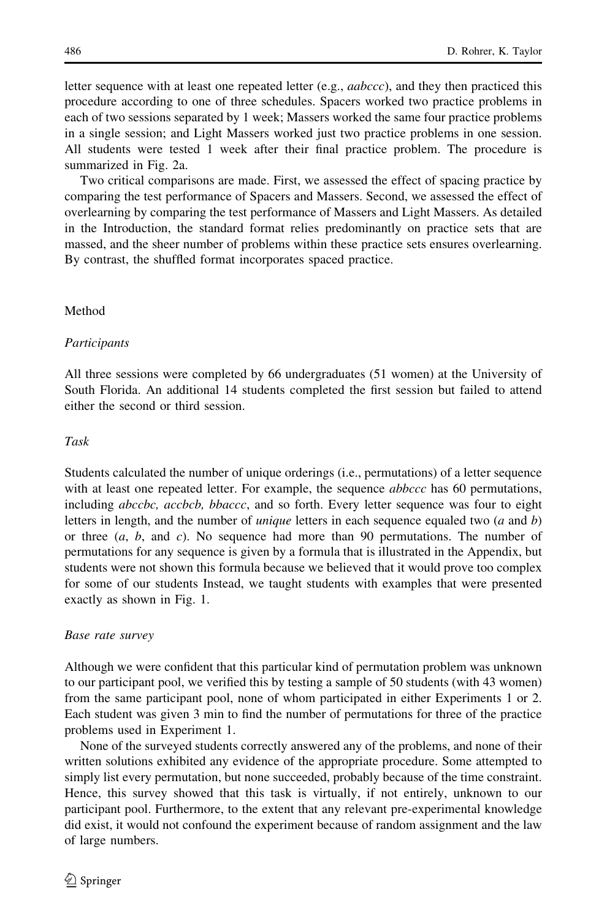letter sequence with at least one repeated letter (e.g.,  $aabccc$ ), and they then practiced this procedure according to one of three schedules. Spacers worked two practice problems in each of two sessions separated by 1 week; Massers worked the same four practice problems in a single session; and Light Massers worked just two practice problems in one session. All students were tested 1 week after their final practice problem. The procedure is summarized in Fig. [2a](#page-7-0).

Two critical comparisons are made. First, we assessed the effect of spacing practice by comparing the test performance of Spacers and Massers. Second, we assessed the effect of overlearning by comparing the test performance of Massers and Light Massers. As detailed in the Introduction, the standard format relies predominantly on practice sets that are massed, and the sheer number of problems within these practice sets ensures overlearning. By contrast, the shuffled format incorporates spaced practice.

### Method

#### Participants

All three sessions were completed by 66 undergraduates (51 women) at the University of South Florida. An additional 14 students completed the first session but failed to attend either the second or third session.

#### Task

Students calculated the number of unique orderings (i.e., permutations) of a letter sequence with at least one repeated letter. For example, the sequence *abbccc* has 60 permutations, including *abccbc*, *accbcb*, *bbaccc*, and so forth. Every letter sequence was four to eight letters in length, and the number of *unique* letters in each sequence equaled two  $(a \text{ and } b)$ or three  $(a, b, \text{ and } c)$ . No sequence had more than 90 permutations. The number of permutations for any sequence is given by a formula that is illustrated in the [Appendix,](#page-15-0) but students were not shown this formula because we believed that it would prove too complex for some of our students Instead, we taught students with examples that were presented exactly as shown in Fig. [1.](#page-6-0)

#### Base rate survey

Although we were confident that this particular kind of permutation problem was unknown to our participant pool, we verified this by testing a sample of 50 students (with 43 women) from the same participant pool, none of whom participated in either Experiments 1 or 2. Each student was given 3 min to find the number of permutations for three of the practice problems used in Experiment 1.

None of the surveyed students correctly answered any of the problems, and none of their written solutions exhibited any evidence of the appropriate procedure. Some attempted to simply list every permutation, but none succeeded, probably because of the time constraint. Hence, this survey showed that this task is virtually, if not entirely, unknown to our participant pool. Furthermore, to the extent that any relevant pre-experimental knowledge did exist, it would not confound the experiment because of random assignment and the law of large numbers.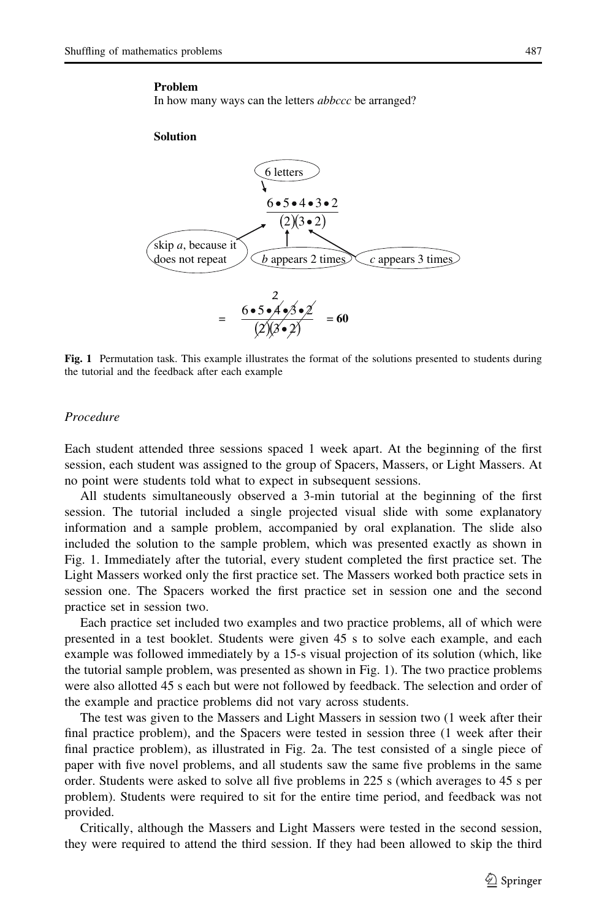#### <span id="page-6-0"></span>**Problem**

In how many ways can the letters *abbccc* be arranged?

#### **Solution**



Fig. 1 Permutation task. This example illustrates the format of the solutions presented to students during the tutorial and the feedback after each example

#### Procedure

Each student attended three sessions spaced 1 week apart. At the beginning of the first session, each student was assigned to the group of Spacers, Massers, or Light Massers. At no point were students told what to expect in subsequent sessions.

All students simultaneously observed a 3-min tutorial at the beginning of the first session. The tutorial included a single projected visual slide with some explanatory information and a sample problem, accompanied by oral explanation. The slide also included the solution to the sample problem, which was presented exactly as shown in Fig. 1. Immediately after the tutorial, every student completed the first practice set. The Light Massers worked only the first practice set. The Massers worked both practice sets in session one. The Spacers worked the first practice set in session one and the second practice set in session two.

Each practice set included two examples and two practice problems, all of which were presented in a test booklet. Students were given 45 s to solve each example, and each example was followed immediately by a 15-s visual projection of its solution (which, like the tutorial sample problem, was presented as shown in Fig. 1). The two practice problems were also allotted 45 s each but were not followed by feedback. The selection and order of the example and practice problems did not vary across students.

The test was given to the Massers and Light Massers in session two (1 week after their final practice problem), and the Spacers were tested in session three (1 week after their final practice problem), as illustrated in Fig. [2](#page-7-0)a. The test consisted of a single piece of paper with five novel problems, and all students saw the same five problems in the same order. Students were asked to solve all five problems in 225 s (which averages to 45 s per problem). Students were required to sit for the entire time period, and feedback was not provided.

Critically, although the Massers and Light Massers were tested in the second session, they were required to attend the third session. If they had been allowed to skip the third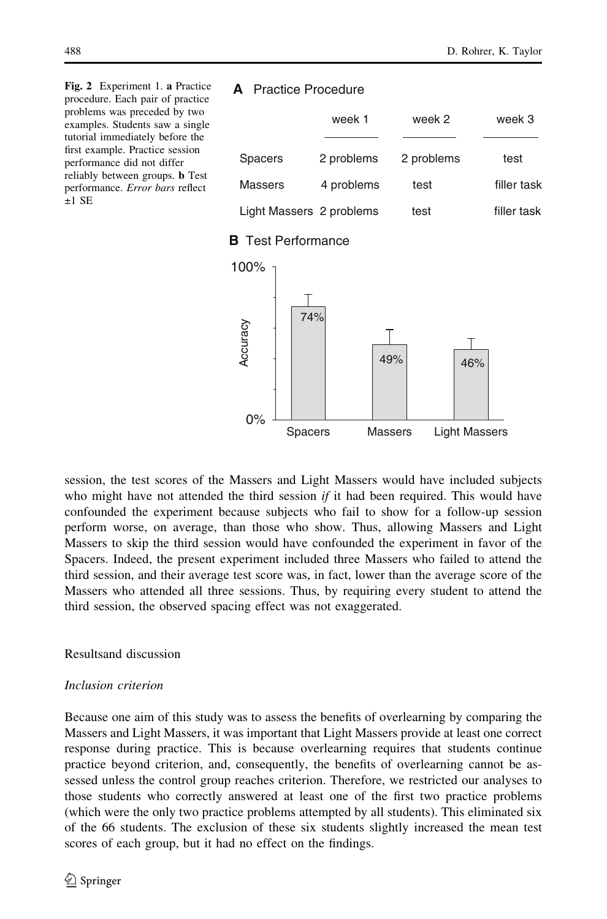<span id="page-7-0"></span>Fig. 2 Experiment 1. a Practice procedure. Each pair of practice problems was preceded by two examples. Students saw a single tutorial immediately before the first example. Practice session performance did not differ reliably between groups. b Test performance. Error bars reflect  $+1$  SE

# **A** Practice Procedure

|                          | week 1     | week 2     | week 3      |
|--------------------------|------------|------------|-------------|
| <b>Spacers</b>           | 2 problems | 2 problems | test        |
| Massers                  | 4 problems | test       | filler task |
| Light Massers 2 problems |            | test       | filler task |

# **B** Test Performance



session, the test scores of the Massers and Light Massers would have included subjects who might have not attended the third session *if* it had been required. This would have confounded the experiment because subjects who fail to show for a follow-up session perform worse, on average, than those who show. Thus, allowing Massers and Light Massers to skip the third session would have confounded the experiment in favor of the Spacers. Indeed, the present experiment included three Massers who failed to attend the third session, and their average test score was, in fact, lower than the average score of the Massers who attended all three sessions. Thus, by requiring every student to attend the third session, the observed spacing effect was not exaggerated.

Resultsand discussion

# Inclusion criterion

Because one aim of this study was to assess the benefits of overlearning by comparing the Massers and Light Massers, it was important that Light Massers provide at least one correct response during practice. This is because overlearning requires that students continue practice beyond criterion, and, consequently, the benefits of overlearning cannot be assessed unless the control group reaches criterion. Therefore, we restricted our analyses to those students who correctly answered at least one of the first two practice problems (which were the only two practice problems attempted by all students). This eliminated six of the 66 students. The exclusion of these six students slightly increased the mean test scores of each group, but it had no effect on the findings.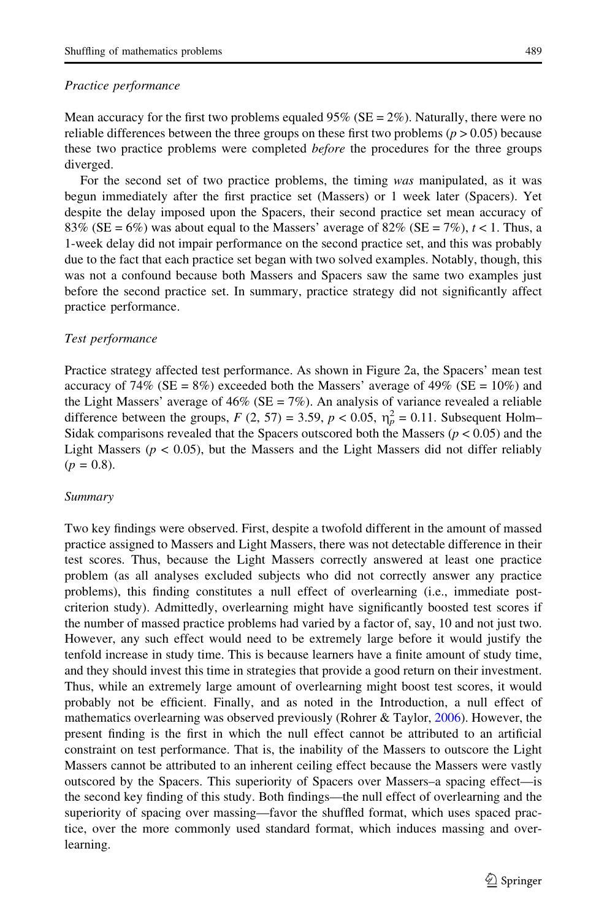### Practice performance

diverged.

Mean accuracy for the first two problems equaled  $95\%$  (SE =  $2\%$ ). Naturally, there were no reliable differences between the three groups on these first two problems ( $p > 0.05$ ) because these two practice problems were completed *before* the procedures for the three groups

For the second set of two practice problems, the timing was manipulated, as it was begun immediately after the first practice set (Massers) or 1 week later (Spacers). Yet despite the delay imposed upon the Spacers, their second practice set mean accuracy of 83% (SE = 6%) was about equal to the Massers' average of 82% (SE = 7%),  $t < 1$ . Thus, a 1-week delay did not impair performance on the second practice set, and this was probably due to the fact that each practice set began with two solved examples. Notably, though, this was not a confound because both Massers and Spacers saw the same two examples just before the second practice set. In summary, practice strategy did not significantly affect practice performance.

### Test performance

Practice strategy affected test performance. As shown in Figure [2](#page-7-0)a, the Spacers' mean test accuracy of 74% (SE =  $8\%$ ) exceeded both the Massers' average of 49% (SE =  $10\%$ ) and the Light Massers' average of  $46\%$  (SE = 7%). An analysis of variance revealed a reliable difference between the groups,  $F(2, 57) = 3.59$ ,  $p < 0.05$ ,  $\eta_p^2 = 0.11$ . Subsequent Holm-Sidak comparisons revealed that the Spacers outscored both the Massers ( $p < 0.05$ ) and the Light Massers ( $p < 0.05$ ), but the Massers and the Light Massers did not differ reliably  $(p = 0.8)$ .

### Summary

Two key findings were observed. First, despite a twofold different in the amount of massed practice assigned to Massers and Light Massers, there was not detectable difference in their test scores. Thus, because the Light Massers correctly answered at least one practice problem (as all analyses excluded subjects who did not correctly answer any practice problems), this finding constitutes a null effect of overlearning (i.e., immediate postcriterion study). Admittedly, overlearning might have significantly boosted test scores if the number of massed practice problems had varied by a factor of, say, 10 and not just two. However, any such effect would need to be extremely large before it would justify the tenfold increase in study time. This is because learners have a finite amount of study time, and they should invest this time in strategies that provide a good return on their investment. Thus, while an extremely large amount of overlearning might boost test scores, it would probably not be efficient. Finally, and as noted in the Introduction, a null effect of mathematics overlearning was observed previously (Rohrer & Taylor, [2006\)](#page-16-0). However, the present finding is the first in which the null effect cannot be attributed to an artificial constraint on test performance. That is, the inability of the Massers to outscore the Light Massers cannot be attributed to an inherent ceiling effect because the Massers were vastly outscored by the Spacers. This superiority of Spacers over Massers–a spacing effect—is the second key finding of this study. Both findings—the null effect of overlearning and the superiority of spacing over massing—favor the shuffled format, which uses spaced practice, over the more commonly used standard format, which induces massing and overlearning.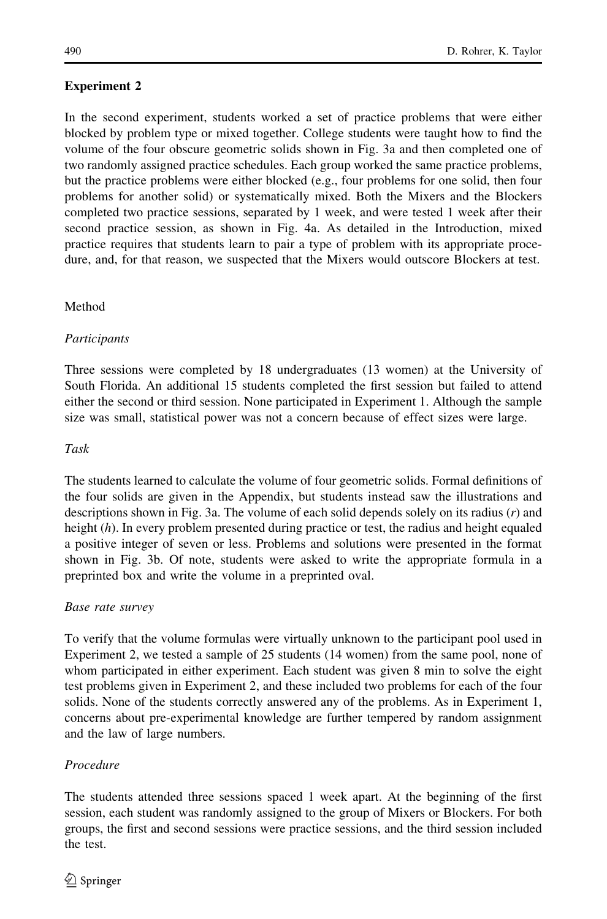# Experiment 2

In the second experiment, students worked a set of practice problems that were either blocked by problem type or mixed together. College students were taught how to find the volume of the four obscure geometric solids shown in Fig. [3](#page-10-0)a and then completed one of two randomly assigned practice schedules. Each group worked the same practice problems, but the practice problems were either blocked (e.g., four problems for one solid, then four problems for another solid) or systematically mixed. Both the Mixers and the Blockers completed two practice sessions, separated by 1 week, and were tested 1 week after their second practice session, as shown in Fig. [4](#page-12-0)a. As detailed in the Introduction, mixed practice requires that students learn to pair a type of problem with its appropriate procedure, and, for that reason, we suspected that the Mixers would outscore Blockers at test.

## Method

## **Participants**

Three sessions were completed by 18 undergraduates (13 women) at the University of South Florida. An additional 15 students completed the first session but failed to attend either the second or third session. None participated in Experiment 1. Although the sample size was small, statistical power was not a concern because of effect sizes were large.

### Task

The students learned to calculate the volume of four geometric solids. Formal definitions of the four solids are given in the [Appendix](#page-15-0), but students instead saw the illustrations and descriptions shown in Fig. [3](#page-10-0)a. The volume of each solid depends solely on its radius (r) and height (h). In every problem presented during practice or test, the radius and height equaled a positive integer of seven or less. Problems and solutions were presented in the format shown in Fig. [3](#page-10-0)b. Of note, students were asked to write the appropriate formula in a preprinted box and write the volume in a preprinted oval.

### Base rate survey

To verify that the volume formulas were virtually unknown to the participant pool used in Experiment 2, we tested a sample of 25 students (14 women) from the same pool, none of whom participated in either experiment. Each student was given 8 min to solve the eight test problems given in Experiment 2, and these included two problems for each of the four solids. None of the students correctly answered any of the problems. As in Experiment 1, concerns about pre-experimental knowledge are further tempered by random assignment and the law of large numbers.

# Procedure

The students attended three sessions spaced 1 week apart. At the beginning of the first session, each student was randomly assigned to the group of Mixers or Blockers. For both groups, the first and second sessions were practice sessions, and the third session included the test.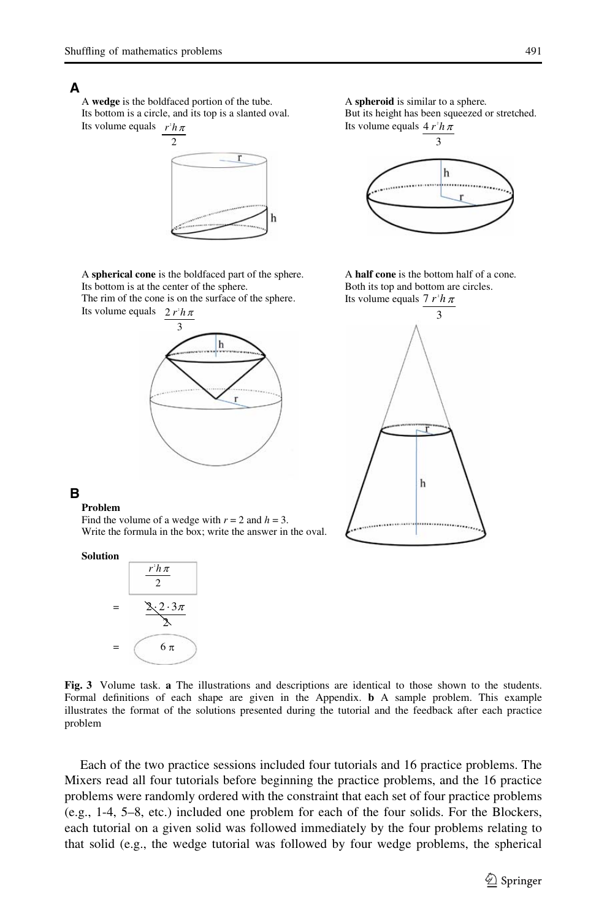### <span id="page-10-0"></span>**A**

A **wedge** is the boldfaced portion of the tube. Its bottom is a circle, and its top is a slanted oval. Its volume equals 2 *r h*



A **spherical cone** is the boldfaced part of the sphere. Its bottom is at the center of the sphere.

The rim of the cone is on the surface of the sphere. Its volume equals  $2 r^2 h$ 



A **spheroid** is similar to a sphere. But its height has been squeezed or stretched. Its volume equals  $4 r<sup>2</sup> h$ 



A **half cone** is the bottom half of a cone. Both its top and bottom are circles. Its volume equals  $7 r<sup>2</sup> h$ 



## **B**

#### **Problem**

Find the volume of a wedge with  $r = 2$  and  $h = 3$ . Write the formula in the box; write the answer in the oval.

#### **Solution**



Fig. 3 Volume task. a The illustrations and descriptions are identical to those shown to the students. Formal definitions of each shape are given in the [Appendix.](#page-15-0) b A sample problem. This example illustrates the format of the solutions presented during the tutorial and the feedback after each practice problem

Each of the two practice sessions included four tutorials and 16 practice problems. The Mixers read all four tutorials before beginning the practice problems, and the 16 practice problems were randomly ordered with the constraint that each set of four practice problems (e.g., 1-4, 5–8, etc.) included one problem for each of the four solids. For the Blockers, each tutorial on a given solid was followed immediately by the four problems relating to that solid (e.g., the wedge tutorial was followed by four wedge problems, the spherical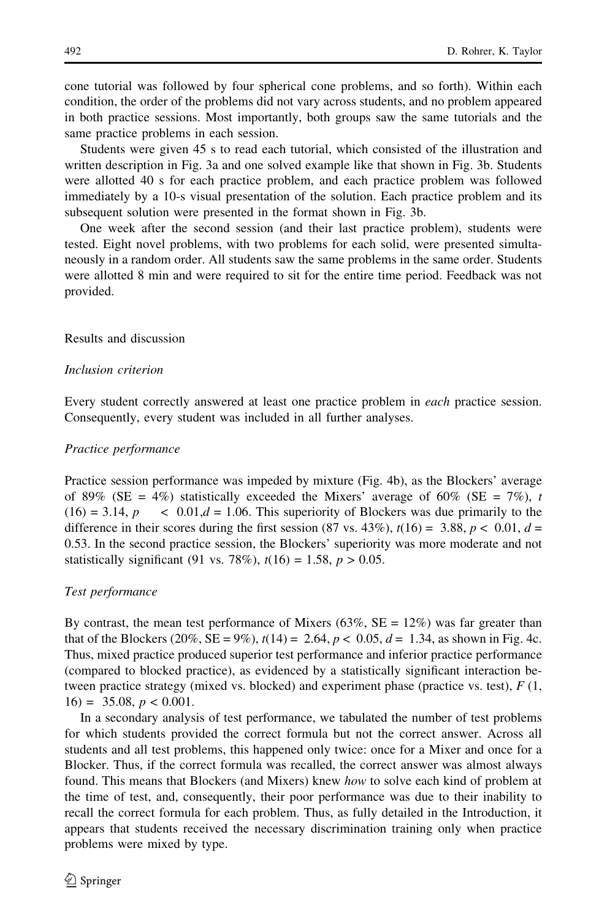cone tutorial was followed by four spherical cone problems, and so forth). Within each condition, the order of the problems did not vary across students, and no problem appeared in both practice sessions. Most importantly, both groups saw the same tutorials and the same practice problems in each session.

Students were given 45 s to read each tutorial, which consisted of the illustration and written description in Fig. [3a](#page-10-0) and one solved example like that shown in Fig. [3](#page-10-0)b. Students were allotted 40 s for each practice problem, and each practice problem was followed immediately by a 10-s visual presentation of the solution. Each practice problem and its subsequent solution were presented in the format shown in Fig. [3b](#page-10-0).

One week after the second session (and their last practice problem), students were tested. Eight novel problems, with two problems for each solid, were presented simultaneously in a random order. All students saw the same problems in the same order. Students were allotted 8 min and were required to sit for the entire time period. Feedback was not provided.

### Results and discussion

### Inclusion criterion

Every student correctly answered at least one practice problem in each practice session. Consequently, every student was included in all further analyses.

### Practice performance

Practice session performance was impeded by mixture (Fig. [4b](#page-12-0)), as the Blockers' average of 89% (SE = 4%) statistically exceeded the Mixers' average of 60% (SE = 7%), t  $(16) = 3.14$ ,  $p \le 0.01$ ,  $d = 1.06$ . This superiority of Blockers was due primarily to the difference in their scores during the first session (87 vs. 43%),  $t(16) = 3.88$ ,  $p < 0.01$ ,  $d =$ 0.53. In the second practice session, the Blockers' superiority was more moderate and not statistically significant (91 vs. 78%),  $t(16) = 1.58$ ,  $p > 0.05$ .

### Test performance

By contrast, the mean test performance of Mixers (63%,  $SE = 12\%$ ) was far greater than that of the Blockers (20%, SE = 9%),  $t(14) = 2.64$ ,  $p < 0.05$ ,  $d = 1.34$ , as shown in Fig. [4c](#page-12-0). Thus, mixed practice produced superior test performance and inferior practice performance (compared to blocked practice), as evidenced by a statistically significant interaction between practice strategy (mixed vs. blocked) and experiment phase (practice vs. test),  $F(1, 1)$  $16) = 35.08, p < 0.001.$ 

In a secondary analysis of test performance, we tabulated the number of test problems for which students provided the correct formula but not the correct answer. Across all students and all test problems, this happened only twice: once for a Mixer and once for a Blocker. Thus, if the correct formula was recalled, the correct answer was almost always found. This means that Blockers (and Mixers) knew how to solve each kind of problem at the time of test, and, consequently, their poor performance was due to their inability to recall the correct formula for each problem. Thus, as fully detailed in the Introduction, it appears that students received the necessary discrimination training only when practice problems were mixed by type.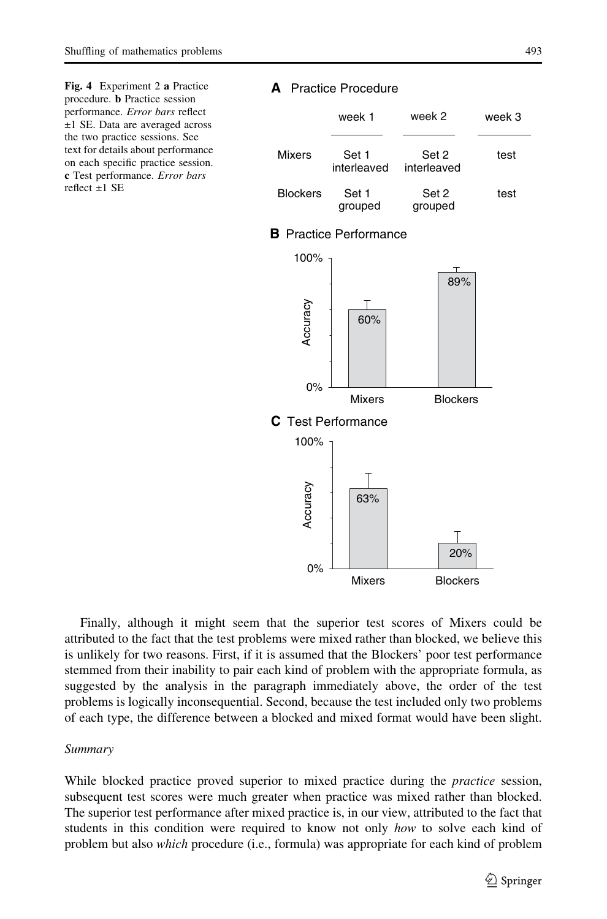<span id="page-12-0"></span>Fig. 4 Experiment 2 a Practice procedure. b Practice session performance. Error bars reflect ±1 SE. Data are averaged across the two practice sessions. See text for details about performance on each specific practice session. c Test performance. Error bars  $reflect +1 SE$ 

#### **A** Practice Procedure



### **B** Practice Performance



Finally, although it might seem that the superior test scores of Mixers could be attributed to the fact that the test problems were mixed rather than blocked, we believe this is unlikely for two reasons. First, if it is assumed that the Blockers' poor test performance stemmed from their inability to pair each kind of problem with the appropriate formula, as suggested by the analysis in the paragraph immediately above, the order of the test problems is logically inconsequential. Second, because the test included only two problems of each type, the difference between a blocked and mixed format would have been slight.

#### Summary

While blocked practice proved superior to mixed practice during the *practice* session, subsequent test scores were much greater when practice was mixed rather than blocked. The superior test performance after mixed practice is, in our view, attributed to the fact that students in this condition were required to know not only how to solve each kind of problem but also which procedure (i.e., formula) was appropriate for each kind of problem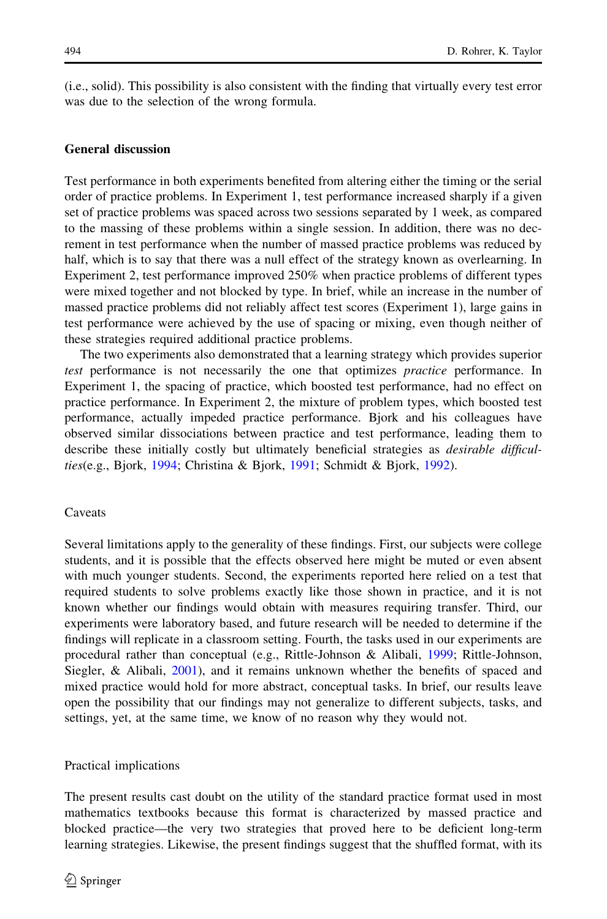(i.e., solid). This possibility is also consistent with the finding that virtually every test error was due to the selection of the wrong formula.

### General discussion

Test performance in both experiments benefited from altering either the timing or the serial order of practice problems. In Experiment 1, test performance increased sharply if a given set of practice problems was spaced across two sessions separated by 1 week, as compared to the massing of these problems within a single session. In addition, there was no decrement in test performance when the number of massed practice problems was reduced by half, which is to say that there was a null effect of the strategy known as overlearning. In Experiment 2, test performance improved 250% when practice problems of different types were mixed together and not blocked by type. In brief, while an increase in the number of massed practice problems did not reliably affect test scores (Experiment 1), large gains in test performance were achieved by the use of spacing or mixing, even though neither of these strategies required additional practice problems.

The two experiments also demonstrated that a learning strategy which provides superior test performance is not necessarily the one that optimizes practice performance. In Experiment 1, the spacing of practice, which boosted test performance, had no effect on practice performance. In Experiment 2, the mixture of problem types, which boosted test performance, actually impeded practice performance. Bjork and his colleagues have observed similar dissociations between practice and test performance, leading them to describe these initially costly but ultimately beneficial strategies as *desirable difficul*ties(e.g., Bjork, [1994](#page-16-0); Christina & Bjork, [1991;](#page-16-0) Schmidt & Bjork, [1992\)](#page-17-0).

#### Caveats

Several limitations apply to the generality of these findings. First, our subjects were college students, and it is possible that the effects observed here might be muted or even absent with much younger students. Second, the experiments reported here relied on a test that required students to solve problems exactly like those shown in practice, and it is not known whether our findings would obtain with measures requiring transfer. Third, our experiments were laboratory based, and future research will be needed to determine if the findings will replicate in a classroom setting. Fourth, the tasks used in our experiments are procedural rather than conceptual (e.g., Rittle-Johnson & Alibali, [1999](#page-16-0); Rittle-Johnson, Siegler, & Alibali, [2001](#page-16-0)), and it remains unknown whether the benefits of spaced and mixed practice would hold for more abstract, conceptual tasks. In brief, our results leave open the possibility that our findings may not generalize to different subjects, tasks, and settings, yet, at the same time, we know of no reason why they would not.

#### Practical implications

The present results cast doubt on the utility of the standard practice format used in most mathematics textbooks because this format is characterized by massed practice and blocked practice—the very two strategies that proved here to be deficient long-term learning strategies. Likewise, the present findings suggest that the shuffled format, with its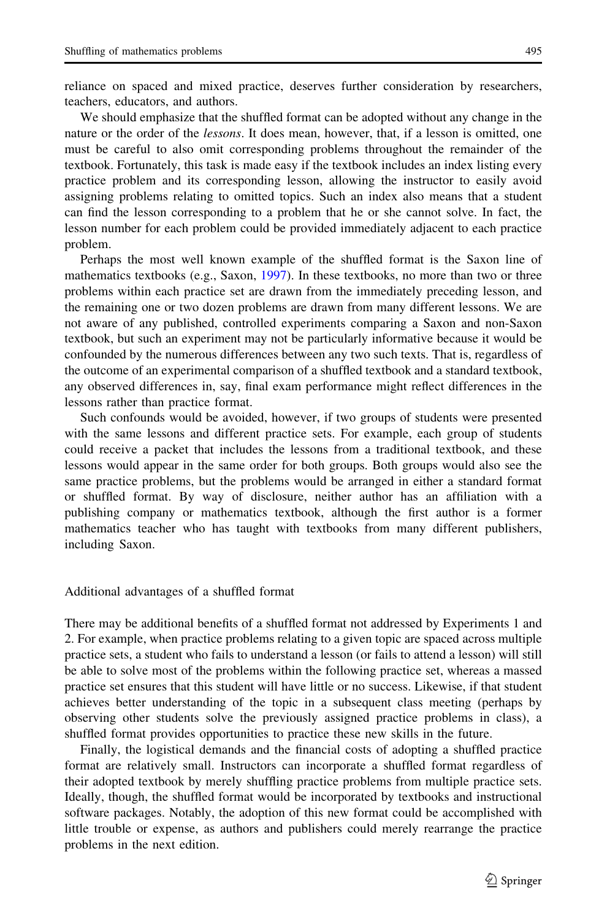reliance on spaced and mixed practice, deserves further consideration by researchers, teachers, educators, and authors.

We should emphasize that the shuffled format can be adopted without any change in the nature or the order of the *lessons*. It does mean, however, that, if a lesson is omitted, one must be careful to also omit corresponding problems throughout the remainder of the textbook. Fortunately, this task is made easy if the textbook includes an index listing every practice problem and its corresponding lesson, allowing the instructor to easily avoid assigning problems relating to omitted topics. Such an index also means that a student can find the lesson corresponding to a problem that he or she cannot solve. In fact, the lesson number for each problem could be provided immediately adjacent to each practice problem.

Perhaps the most well known example of the shuffled format is the Saxon line of mathematics textbooks (e.g., Saxon, [1997\)](#page-17-0). In these textbooks, no more than two or three problems within each practice set are drawn from the immediately preceding lesson, and the remaining one or two dozen problems are drawn from many different lessons. We are not aware of any published, controlled experiments comparing a Saxon and non-Saxon textbook, but such an experiment may not be particularly informative because it would be confounded by the numerous differences between any two such texts. That is, regardless of the outcome of an experimental comparison of a shuffled textbook and a standard textbook, any observed differences in, say, final exam performance might reflect differences in the lessons rather than practice format.

Such confounds would be avoided, however, if two groups of students were presented with the same lessons and different practice sets. For example, each group of students could receive a packet that includes the lessons from a traditional textbook, and these lessons would appear in the same order for both groups. Both groups would also see the same practice problems, but the problems would be arranged in either a standard format or shuffled format. By way of disclosure, neither author has an affiliation with a publishing company or mathematics textbook, although the first author is a former mathematics teacher who has taught with textbooks from many different publishers, including Saxon.

Additional advantages of a shuffled format

There may be additional benefits of a shuffled format not addressed by Experiments 1 and 2. For example, when practice problems relating to a given topic are spaced across multiple practice sets, a student who fails to understand a lesson (or fails to attend a lesson) will still be able to solve most of the problems within the following practice set, whereas a massed practice set ensures that this student will have little or no success. Likewise, if that student achieves better understanding of the topic in a subsequent class meeting (perhaps by observing other students solve the previously assigned practice problems in class), a shuffled format provides opportunities to practice these new skills in the future.

Finally, the logistical demands and the financial costs of adopting a shuffled practice format are relatively small. Instructors can incorporate a shuffled format regardless of their adopted textbook by merely shuffling practice problems from multiple practice sets. Ideally, though, the shuffled format would be incorporated by textbooks and instructional software packages. Notably, the adoption of this new format could be accomplished with little trouble or expense, as authors and publishers could merely rearrange the practice problems in the next edition.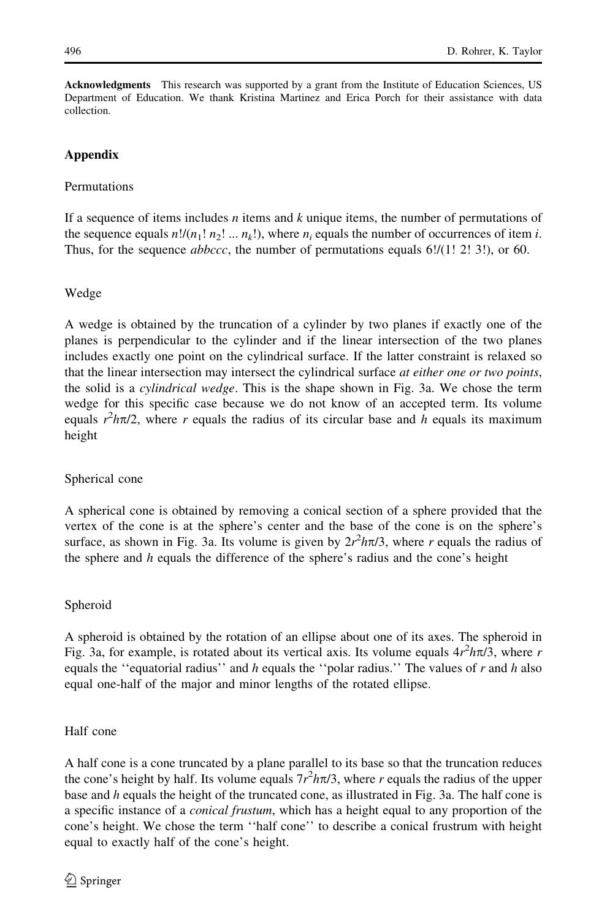<span id="page-15-0"></span>Acknowledgments This research was supported by a grant from the Institute of Education Sciences, US Department of Education. We thank Kristina Martinez and Erica Porch for their assistance with data collection.

### Appendix

### **Permutations**

If a sequence of items includes  $n$  items and  $k$  unique items, the number of permutations of the sequence equals  $n!/(n_1! n_2! ... n_k!)$ , where  $n_i$  equals the number of occurrences of item i. Thus, for the sequence *abbccc*, the number of permutations equals 6!/(1! 2! 3!), or 60.

### Wedge

A wedge is obtained by the truncation of a cylinder by two planes if exactly one of the planes is perpendicular to the cylinder and if the linear intersection of the two planes includes exactly one point on the cylindrical surface. If the latter constraint is relaxed so that the linear intersection may intersect the cylindrical surface *at either one or two points*, the solid is a *cylindrical wedge*. This is the shape shown in Fig. [3](#page-10-0)a. We chose the term wedge for this specific case because we do not know of an accepted term. Its volume equals  $r^2h\pi/2$ , where r equals the radius of its circular base and h equals its maximum height

### Spherical cone

A spherical cone is obtained by removing a conical section of a sphere provided that the vertex of the cone is at the sphere's center and the base of the cone is on the sphere's surface, as shown in Fig. [3a](#page-10-0). Its volume is given by  $2r^2h\pi/3$ , where r equals the radius of the sphere and  $h$  equals the difference of the sphere's radius and the cone's height

### Spheroid

A spheroid is obtained by the rotation of an ellipse about one of its axes. The spheroid in Fig. [3](#page-10-0)a, for example, is rotated about its vertical axis. Its volume equals  $4r^2h\pi/3$ , where r equals the "equatorial radius" and  $h$  equals the "polar radius." The values of  $r$  and  $h$  also equal one-half of the major and minor lengths of the rotated ellipse.

### Half cone

A half cone is a cone truncated by a plane parallel to its base so that the truncation reduces the cone's height by half. Its volume equals  $7r^2h\pi/3$ , where r equals the radius of the upper base and  $h$  equals the height of the truncated cone, as illustrated in Fig. [3a](#page-10-0). The half cone is a specific instance of a conical frustum, which has a height equal to any proportion of the cone's height. We chose the term ''half cone'' to describe a conical frustrum with height equal to exactly half of the cone's height.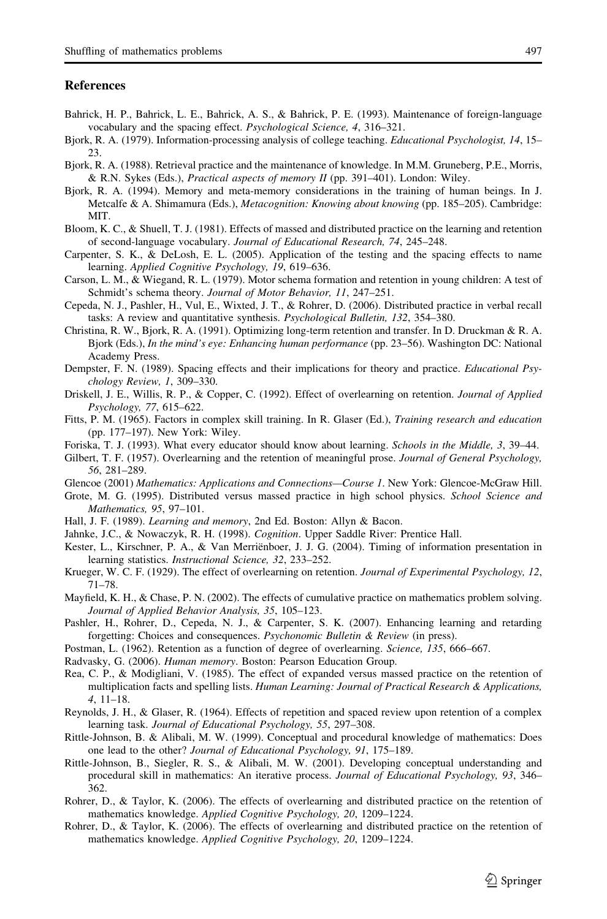#### <span id="page-16-0"></span>**References**

- Bahrick, H. P., Bahrick, L. E., Bahrick, A. S., & Bahrick, P. E. (1993). Maintenance of foreign-language vocabulary and the spacing effect. Psychological Science, 4, 316–321.
- Bjork, R. A. (1979). Information-processing analysis of college teaching. Educational Psychologist, 14, 15– 23.
- Bjork, R. A. (1988). Retrieval practice and the maintenance of knowledge. In M.M. Gruneberg, P.E., Morris, & R.N. Sykes (Eds.), Practical aspects of memory II (pp. 391–401). London: Wiley.
- Bjork, R. A. (1994). Memory and meta-memory considerations in the training of human beings. In J. Metcalfe & A. Shimamura (Eds.), Metacognition: Knowing about knowing (pp. 185–205). Cambridge: MIT.
- Bloom, K. C., & Shuell, T. J. (1981). Effects of massed and distributed practice on the learning and retention of second-language vocabulary. Journal of Educational Research, 74, 245–248.
- Carpenter, S. K., & DeLosh, E. L. (2005). Application of the testing and the spacing effects to name learning. Applied Cognitive Psychology, 19, 619–636.
- Carson, L. M., & Wiegand, R. L. (1979). Motor schema formation and retention in young children: A test of Schmidt's schema theory. Journal of Motor Behavior, 11, 247–251.
- Cepeda, N. J., Pashler, H., Vul, E., Wixted, J. T., & Rohrer, D. (2006). Distributed practice in verbal recall tasks: A review and quantitative synthesis. Psychological Bulletin, 132, 354–380.
- Christina, R. W., Bjork, R. A. (1991). Optimizing long-term retention and transfer. In D. Druckman & R. A. Bjork (Eds.), In the mind's eye: Enhancing human performance (pp. 23–56). Washington DC: National Academy Press.
- Dempster, F. N. (1989). Spacing effects and their implications for theory and practice. Educational Psychology Review, 1, 309–330.
- Driskell, J. E., Willis, R. P., & Copper, C. (1992). Effect of overlearning on retention. Journal of Applied Psychology, 77, 615–622.
- Fitts, P. M. (1965). Factors in complex skill training. In R. Glaser (Ed.), Training research and education (pp. 177–197). New York: Wiley.
- Foriska, T. J. (1993). What every educator should know about learning. Schools in the Middle, 3, 39–44.
- Gilbert, T. F. (1957). Overlearning and the retention of meaningful prose. Journal of General Psychology, 56, 281–289.

Glencoe (2001) Mathematics: Applications and Connections—Course 1. New York: Glencoe-McGraw Hill.

- Grote, M. G. (1995). Distributed versus massed practice in high school physics. School Science and Mathematics, 95, 97–101.
- Hall, J. F. (1989). Learning and memory, 2nd Ed. Boston: Allyn & Bacon.
- Jahnke, J.C., & Nowaczyk, R. H. (1998). Cognition. Upper Saddle River: Prentice Hall.
- Kester, L., Kirschner, P. A., & Van Merriënboer, J. J. G. (2004). Timing of information presentation in learning statistics. Instructional Science, 32, 233–252.
- Krueger, W. C. F. (1929). The effect of overlearning on retention. Journal of Experimental Psychology, 12, 71–78.
- Mayfield, K. H., & Chase, P. N. (2002). The effects of cumulative practice on mathematics problem solving. Journal of Applied Behavior Analysis, 35, 105–123.
- Pashler, H., Rohrer, D., Cepeda, N. J., & Carpenter, S. K. (2007). Enhancing learning and retarding forgetting: Choices and consequences. Psychonomic Bulletin & Review (in press).
- Postman, L. (1962). Retention as a function of degree of overlearning. Science, 135, 666–667.

Radvasky, G. (2006). Human memory. Boston: Pearson Education Group.

- Rea, C. P., & Modigliani, V. (1985). The effect of expanded versus massed practice on the retention of multiplication facts and spelling lists. Human Learning: Journal of Practical Research & Applications, 4, 11–18.
- Reynolds, J. H., & Glaser, R. (1964). Effects of repetition and spaced review upon retention of a complex learning task. Journal of Educational Psychology, 55, 297–308.
- Rittle-Johnson, B. & Alibali, M. W. (1999). Conceptual and procedural knowledge of mathematics: Does one lead to the other? Journal of Educational Psychology, 91, 175–189.
- Rittle-Johnson, B., Siegler, R. S., & Alibali, M. W. (2001). Developing conceptual understanding and procedural skill in mathematics: An iterative process. Journal of Educational Psychology, 93, 346– 362.
- Rohrer, D., & Taylor, K. (2006). The effects of overlearning and distributed practice on the retention of mathematics knowledge. Applied Cognitive Psychology, 20, 1209–1224.
- Rohrer, D., & Taylor, K. (2006). The effects of overlearning and distributed practice on the retention of mathematics knowledge. Applied Cognitive Psychology, 20, 1209–1224.